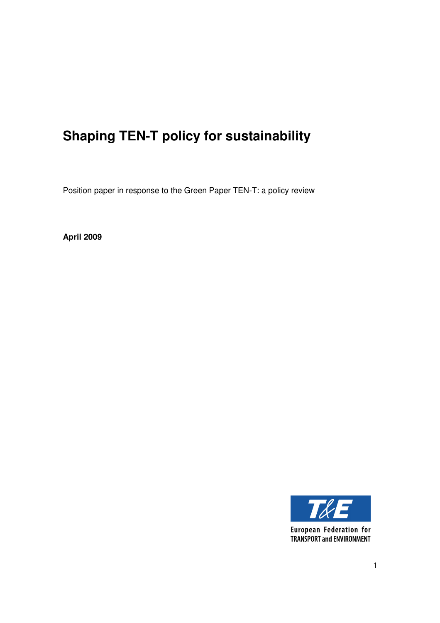# **Shaping TEN-T policy for sustainability**

Position paper in response to the Green Paper TEN-T: a policy review

**April 2009** 



**European Federation for TRANSPORT and ENVIRONMENT**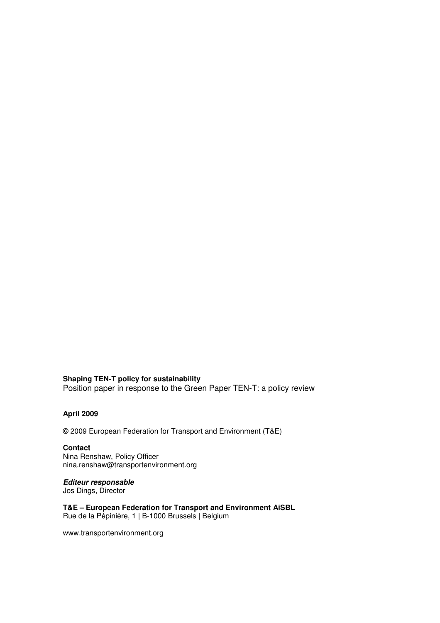#### **Shaping TEN-T policy for sustainability**

Position paper in response to the Green Paper TEN-T: a policy review

#### **April 2009**

© 2009 European Federation for Transport and Environment (T&E)

### **Contact**

Nina Renshaw, Policy Officer nina.renshaw@transportenvironment.org

#### **Editeur responsable**

Jos Dings, Director

**T&E – European Federation for Transport and Environment AiSBL**  Rue de la Pépinière, 1 | B-1000 Brussels | Belgium

www.transportenvironment.org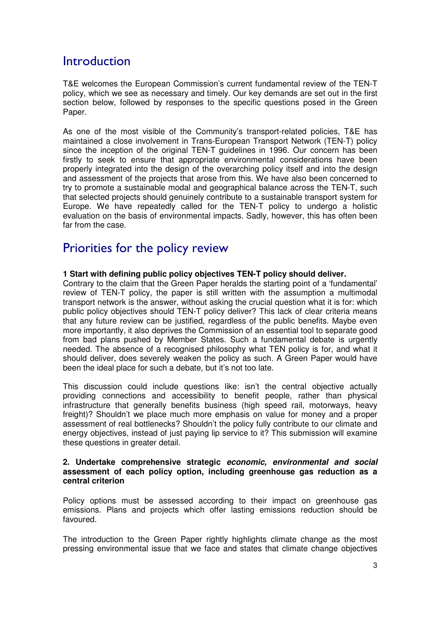## **Introduction**

T&E welcomes the European Commission's current fundamental review of the TEN-T policy, which we see as necessary and timely. Our key demands are set out in the first section below, followed by responses to the specific questions posed in the Green Paper.

As one of the most visible of the Community's transport-related policies, T&E has maintained a close involvement in Trans-European Transport Network (TEN-T) policy since the inception of the original TEN-T guidelines in 1996. Our concern has been firstly to seek to ensure that appropriate environmental considerations have been properly integrated into the design of the overarching policy itself and into the design and assessment of the projects that arose from this. We have also been concerned to try to promote a sustainable modal and geographical balance across the TEN-T, such that selected projects should genuinely contribute to a sustainable transport system for Europe. We have repeatedly called for the TEN-T policy to undergo a holistic evaluation on the basis of environmental impacts. Sadly, however, this has often been far from the case.

### Priorities for the policy review

#### **1 Start with defining public policy objectives TEN-T policy should deliver.**

Contrary to the claim that the Green Paper heralds the starting point of a 'fundamental' review of TEN-T policy, the paper is still written with the assumption a multimodal transport network is the answer, without asking the crucial question what it is for: which public policy objectives should TEN-T policy deliver? This lack of clear criteria means that any future review can be justified, regardless of the public benefits. Maybe even more importantly, it also deprives the Commission of an essential tool to separate good from bad plans pushed by Member States. Such a fundamental debate is urgently needed. The absence of a recognised philosophy what TEN policy is for, and what it should deliver, does severely weaken the policy as such. A Green Paper would have been the ideal place for such a debate, but it's not too late.

This discussion could include questions like: isn't the central objective actually providing connections and accessibility to benefit people, rather than physical infrastructure that generally benefits business (high speed rail, motorways, heavy freight)? Shouldn't we place much more emphasis on value for money and a proper assessment of real bottlenecks? Shouldn't the policy fully contribute to our climate and energy objectives, instead of just paying lip service to it? This submission will examine these questions in greater detail.

#### **2. Undertake comprehensive strategic economic, environmental and social assessment of each policy option, including greenhouse gas reduction as a central criterion**

Policy options must be assessed according to their impact on greenhouse gas emissions. Plans and projects which offer lasting emissions reduction should be favoured.

The introduction to the Green Paper rightly highlights climate change as the most pressing environmental issue that we face and states that climate change objectives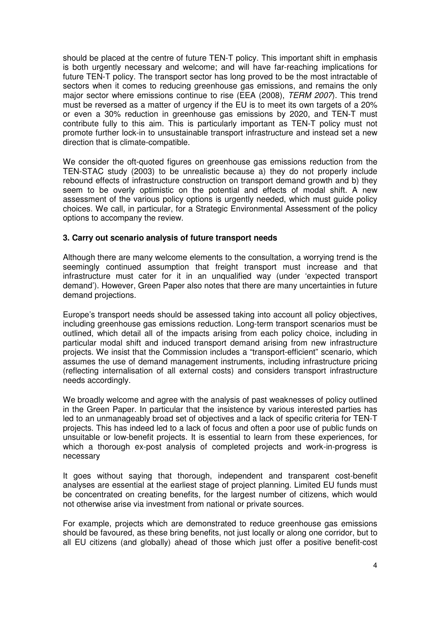should be placed at the centre of future TEN-T policy. This important shift in emphasis is both urgently necessary and welcome; and will have far-reaching implications for future TEN-T policy. The transport sector has long proved to be the most intractable of sectors when it comes to reducing greenhouse gas emissions, and remains the only major sector where emissions continue to rise (EEA (2008), TERM 2007). This trend must be reversed as a matter of urgency if the EU is to meet its own targets of a 20% or even a 30% reduction in greenhouse gas emissions by 2020, and TEN-T must contribute fully to this aim. This is particularly important as TEN-T policy must not promote further lock-in to unsustainable transport infrastructure and instead set a new direction that is climate-compatible.

We consider the oft-quoted figures on greenhouse gas emissions reduction from the TEN-STAC study (2003) to be unrealistic because a) they do not properly include rebound effects of infrastructure construction on transport demand growth and b) they seem to be overly optimistic on the potential and effects of modal shift. A new assessment of the various policy options is urgently needed, which must guide policy choices. We call, in particular, for a Strategic Environmental Assessment of the policy options to accompany the review.

#### **3. Carry out scenario analysis of future transport needs**

Although there are many welcome elements to the consultation, a worrying trend is the seemingly continued assumption that freight transport must increase and that infrastructure must cater for it in an unqualified way (under 'expected transport demand'). However, Green Paper also notes that there are many uncertainties in future demand projections.

Europe's transport needs should be assessed taking into account all policy objectives, including greenhouse gas emissions reduction. Long-term transport scenarios must be outlined, which detail all of the impacts arising from each policy choice, including in particular modal shift and induced transport demand arising from new infrastructure projects. We insist that the Commission includes a "transport-efficient" scenario, which assumes the use of demand management instruments, including infrastructure pricing (reflecting internalisation of all external costs) and considers transport infrastructure needs accordingly.

We broadly welcome and agree with the analysis of past weaknesses of policy outlined in the Green Paper. In particular that the insistence by various interested parties has led to an unmanageably broad set of objectives and a lack of specific criteria for TEN-T projects. This has indeed led to a lack of focus and often a poor use of public funds on unsuitable or low-benefit projects. It is essential to learn from these experiences, for which a thorough ex-post analysis of completed projects and work-in-progress is necessary

It goes without saying that thorough, independent and transparent cost-benefit analyses are essential at the earliest stage of project planning. Limited EU funds must be concentrated on creating benefits, for the largest number of citizens, which would not otherwise arise via investment from national or private sources.

For example, projects which are demonstrated to reduce greenhouse gas emissions should be favoured, as these bring benefits, not just locally or along one corridor, but to all EU citizens (and globally) ahead of those which just offer a positive benefit-cost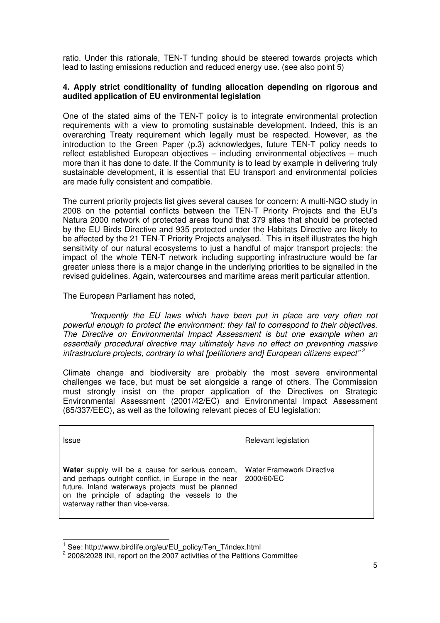ratio. Under this rationale, TEN-T funding should be steered towards projects which lead to lasting emissions reduction and reduced energy use. (see also point 5)

#### **4. Apply strict conditionality of funding allocation depending on rigorous and audited application of EU environmental legislation**

One of the stated aims of the TEN-T policy is to integrate environmental protection requirements with a view to promoting sustainable development. Indeed, this is an overarching Treaty requirement which legally must be respected. However, as the introduction to the Green Paper (p.3) acknowledges, future TEN-T policy needs to reflect established European objectives – including environmental objectives – much more than it has done to date. If the Community is to lead by example in delivering truly sustainable development, it is essential that EU transport and environmental policies are made fully consistent and compatible.

The current priority projects list gives several causes for concern: A multi-NGO study in 2008 on the potential conflicts between the TEN-T Priority Projects and the EU's Natura 2000 network of protected areas found that 379 sites that should be protected by the EU Birds Directive and 935 protected under the Habitats Directive are likely to be affected by the 21 TEN-T Priority Projects analysed.<sup>1</sup> This in itself illustrates the high sensitivity of our natural ecosystems to just a handful of major transport projects: the impact of the whole TEN-T network including supporting infrastructure would be far greater unless there is a major change in the underlying priorities to be signalled in the revised guidelines. Again, watercourses and maritime areas merit particular attention.

The European Parliament has noted,

"frequently the EU laws which have been put in place are very often not powerful enough to protect the environment: they fail to correspond to their objectives. The Directive on Environmental Impact Assessment is but one example when an essentially procedural directive may ultimately have no effect on preventing massive infrastructure projects, contrary to what [petitioners and] European citizens expect"<sup>2</sup>

Climate change and biodiversity are probably the most severe environmental challenges we face, but must be set alongside a range of others. The Commission must strongly insist on the proper application of the Directives on Strategic Environmental Assessment (2001/42/EC) and Environmental Impact Assessment (85/337/EEC), as well as the following relevant pieces of EU legislation:

| <b>Issue</b>                                                                                                                                                                                                                                          | Relevant legislation                           |
|-------------------------------------------------------------------------------------------------------------------------------------------------------------------------------------------------------------------------------------------------------|------------------------------------------------|
| Water supply will be a cause for serious concern,<br>and perhaps outright conflict, in Europe in the near<br>future. Inland waterways projects must be planned<br>on the principle of adapting the vessels to the<br>waterway rather than vice-versa. | <b>Water Framework Directive</b><br>2000/60/EC |

j 1 See: http://www.birdlife.org/eu/EU\_policy/Ten\_T/index.html

 $2$  2008/2028 INI, report on the 2007 activities of the Petitions Committee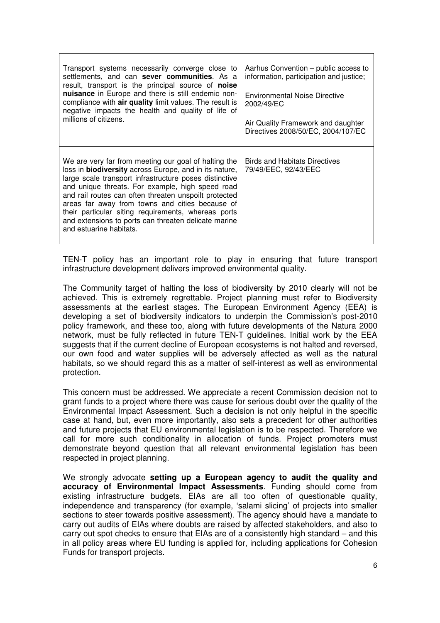| Transport systems necessarily converge close to<br>settlements, and can sever communities. As a<br>result, transport is the principal source of <b>noise</b><br>nuisance in Europe and there is still endemic non-<br>compliance with air quality limit values. The result is<br>negative impacts the health and quality of life of<br>millions of citizens.                                                                                                                              | Aarhus Convention – public access to<br>information, participation and justice;<br>Environmental Noise Directive<br>2002/49/EC<br>Air Quality Framework and daughter<br>Directives 2008/50/EC, 2004/107/EC |
|-------------------------------------------------------------------------------------------------------------------------------------------------------------------------------------------------------------------------------------------------------------------------------------------------------------------------------------------------------------------------------------------------------------------------------------------------------------------------------------------|------------------------------------------------------------------------------------------------------------------------------------------------------------------------------------------------------------|
| We are very far from meeting our goal of halting the<br>loss in <b>biodiversity</b> across Europe, and in its nature,<br>large scale transport infrastructure poses distinctive<br>and unique threats. For example, high speed road<br>and rail routes can often threaten unspoilt protected<br>areas far away from towns and cities because of<br>their particular siting requirements, whereas ports<br>and extensions to ports can threaten delicate marine<br>and estuarine habitats. | <b>Birds and Habitats Directives</b><br>79/49/EEC, 92/43/EEC                                                                                                                                               |

TEN-T policy has an important role to play in ensuring that future transport infrastructure development delivers improved environmental quality.

The Community target of halting the loss of biodiversity by 2010 clearly will not be achieved. This is extremely regrettable. Project planning must refer to Biodiversity assessments at the earliest stages. The European Environment Agency (EEA) is developing a set of biodiversity indicators to underpin the Commission's post-2010 policy framework, and these too, along with future developments of the Natura 2000 network, must be fully reflected in future TEN-T guidelines. Initial work by the EEA suggests that if the current decline of European ecosystems is not halted and reversed, our own food and water supplies will be adversely affected as well as the natural habitats, so we should regard this as a matter of self-interest as well as environmental protection.

This concern must be addressed. We appreciate a recent Commission decision not to grant funds to a project where there was cause for serious doubt over the quality of the Environmental Impact Assessment. Such a decision is not only helpful in the specific case at hand, but, even more importantly, also sets a precedent for other authorities and future projects that EU environmental legislation is to be respected. Therefore we call for more such conditionality in allocation of funds. Project promoters must demonstrate beyond question that all relevant environmental legislation has been respected in project planning.

We strongly advocate **setting up a European agency to audit the quality and accuracy of Environmental Impact Assessments**. Funding should come from existing infrastructure budgets. EIAs are all too often of questionable quality, independence and transparency (for example, 'salami slicing' of projects into smaller sections to steer towards positive assessment). The agency should have a mandate to carry out audits of EIAs where doubts are raised by affected stakeholders, and also to carry out spot checks to ensure that EIAs are of a consistently high standard – and this in all policy areas where EU funding is applied for, including applications for Cohesion Funds for transport projects.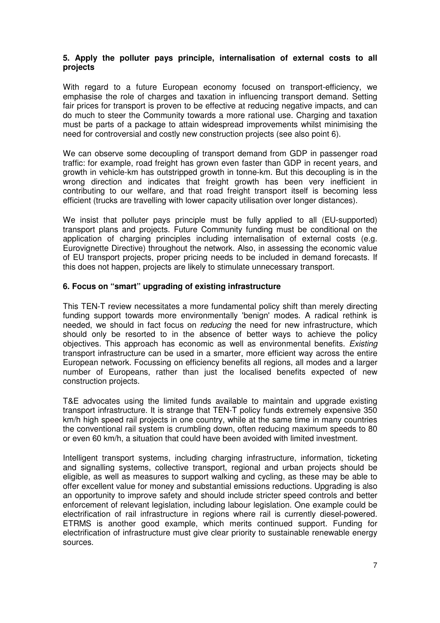#### **5. Apply the polluter pays principle, internalisation of external costs to all projects**

With regard to a future European economy focused on transport-efficiency, we emphasise the role of charges and taxation in influencing transport demand. Setting fair prices for transport is proven to be effective at reducing negative impacts, and can do much to steer the Community towards a more rational use. Charging and taxation must be parts of a package to attain widespread improvements whilst minimising the need for controversial and costly new construction projects (see also point 6).

We can observe some decoupling of transport demand from GDP in passenger road traffic: for example, road freight has grown even faster than GDP in recent years, and growth in vehicle-km has outstripped growth in tonne-km. But this decoupling is in the wrong direction and indicates that freight growth has been very inefficient in contributing to our welfare, and that road freight transport itself is becoming less efficient (trucks are travelling with lower capacity utilisation over longer distances).

We insist that polluter pays principle must be fully applied to all (EU-supported) transport plans and projects. Future Community funding must be conditional on the application of charging principles including internalisation of external costs (e.g. Eurovignette Directive) throughout the network. Also, in assessing the economic value of EU transport projects, proper pricing needs to be included in demand forecasts. If this does not happen, projects are likely to stimulate unnecessary transport.

#### **6. Focus on "smart" upgrading of existing infrastructure**

This TEN-T review necessitates a more fundamental policy shift than merely directing funding support towards more environmentally 'benign' modes. A radical rethink is needed, we should in fact focus on *reducing* the need for new infrastructure, which should only be resorted to in the absence of better ways to achieve the policy objectives. This approach has economic as well as environmental benefits. Existing transport infrastructure can be used in a smarter, more efficient way across the entire European network. Focussing on efficiency benefits all regions, all modes and a larger number of Europeans, rather than just the localised benefits expected of new construction projects.

T&E advocates using the limited funds available to maintain and upgrade existing transport infrastructure. It is strange that TEN-T policy funds extremely expensive 350 km/h high speed rail projects in one country, while at the same time in many countries the conventional rail system is crumbling down, often reducing maximum speeds to 80 or even 60 km/h, a situation that could have been avoided with limited investment.

Intelligent transport systems, including charging infrastructure, information, ticketing and signalling systems, collective transport, regional and urban projects should be eligible, as well as measures to support walking and cycling, as these may be able to offer excellent value for money and substantial emissions reductions. Upgrading is also an opportunity to improve safety and should include stricter speed controls and better enforcement of relevant legislation, including labour legislation. One example could be electrification of rail infrastructure in regions where rail is currently diesel-powered. ETRMS is another good example, which merits continued support. Funding for electrification of infrastructure must give clear priority to sustainable renewable energy sources.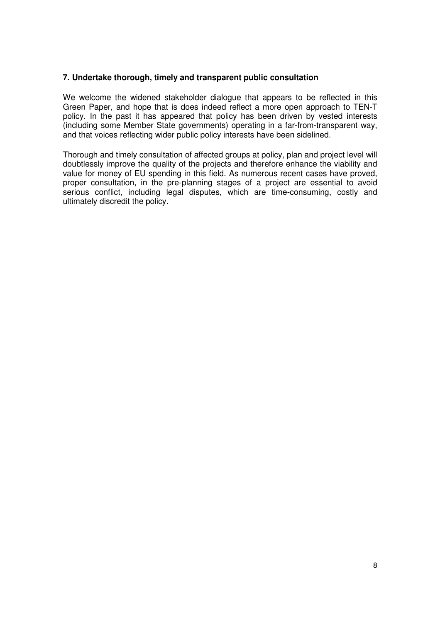#### **7. Undertake thorough, timely and transparent public consultation**

We welcome the widened stakeholder dialogue that appears to be reflected in this Green Paper, and hope that is does indeed reflect a more open approach to TEN-T policy. In the past it has appeared that policy has been driven by vested interests (including some Member State governments) operating in a far-from-transparent way, and that voices reflecting wider public policy interests have been sidelined.

Thorough and timely consultation of affected groups at policy, plan and project level will doubtlessly improve the quality of the projects and therefore enhance the viability and value for money of EU spending in this field. As numerous recent cases have proved, proper consultation, in the pre-planning stages of a project are essential to avoid serious conflict, including legal disputes, which are time-consuming, costly and ultimately discredit the policy.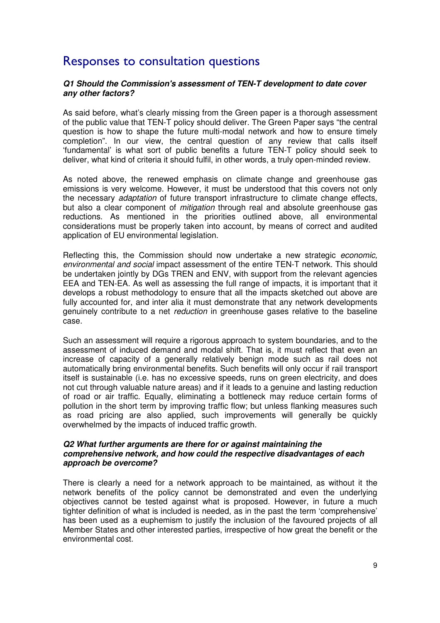### Responses to consultation questions

#### **Q1 Should the Commission's assessment of TEN-T development to date cover any other factors?**

As said before, what's clearly missing from the Green paper is a thorough assessment of the public value that TEN-T policy should deliver. The Green Paper says "the central question is how to shape the future multi-modal network and how to ensure timely completion". In our view, the central question of any review that calls itself 'fundamental' is what sort of public benefits a future TEN-T policy should seek to deliver, what kind of criteria it should fulfil, in other words, a truly open-minded review.

As noted above, the renewed emphasis on climate change and greenhouse gas emissions is very welcome. However, it must be understood that this covers not only the necessary adaptation of future transport infrastructure to climate change effects, but also a clear component of *mitigation* through real and absolute greenhouse gas reductions. As mentioned in the priorities outlined above, all environmental considerations must be properly taken into account, by means of correct and audited application of EU environmental legislation.

Reflecting this, the Commission should now undertake a new strategic *economic*, environmental and social impact assessment of the entire TEN-T network. This should be undertaken jointly by DGs TREN and ENV, with support from the relevant agencies EEA and TEN-EA. As well as assessing the full range of impacts, it is important that it develops a robust methodology to ensure that all the impacts sketched out above are fully accounted for, and inter alia it must demonstrate that any network developments genuinely contribute to a net reduction in greenhouse gases relative to the baseline case.

Such an assessment will require a rigorous approach to system boundaries, and to the assessment of induced demand and modal shift. That is, it must reflect that even an increase of capacity of a generally relatively benign mode such as rail does not automatically bring environmental benefits. Such benefits will only occur if rail transport itself is sustainable (i.e. has no excessive speeds, runs on green electricity, and does not cut through valuable nature areas) and if it leads to a genuine and lasting reduction of road or air traffic. Equally, eliminating a bottleneck may reduce certain forms of pollution in the short term by improving traffic flow; but unless flanking measures such as road pricing are also applied, such improvements will generally be quickly overwhelmed by the impacts of induced traffic growth.

#### **Q2 What further arguments are there for or against maintaining the comprehensive network, and how could the respective disadvantages of each approach be overcome?**

There is clearly a need for a network approach to be maintained, as without it the network benefits of the policy cannot be demonstrated and even the underlying objectives cannot be tested against what is proposed. However, in future a much tighter definition of what is included is needed, as in the past the term 'comprehensive' has been used as a euphemism to justify the inclusion of the favoured projects of all Member States and other interested parties, irrespective of how great the benefit or the environmental cost.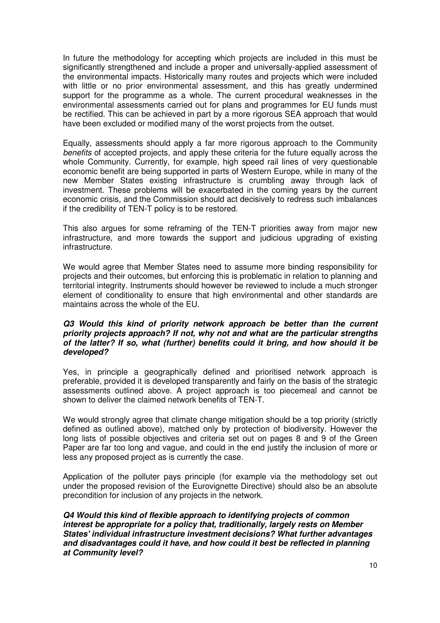In future the methodology for accepting which projects are included in this must be significantly strengthened and include a proper and universally-applied assessment of the environmental impacts. Historically many routes and projects which were included with little or no prior environmental assessment, and this has greatly undermined support for the programme as a whole. The current procedural weaknesses in the environmental assessments carried out for plans and programmes for EU funds must be rectified. This can be achieved in part by a more rigorous SEA approach that would have been excluded or modified many of the worst projects from the outset.

Equally, assessments should apply a far more rigorous approach to the Community benefits of accepted projects, and apply these criteria for the future equally across the whole Community. Currently, for example, high speed rail lines of very questionable economic benefit are being supported in parts of Western Europe, while in many of the new Member States existing infrastructure is crumbling away through lack of investment. These problems will be exacerbated in the coming years by the current economic crisis, and the Commission should act decisively to redress such imbalances if the credibility of TEN-T policy is to be restored.

This also argues for some reframing of the TEN-T priorities away from major new infrastructure, and more towards the support and judicious upgrading of existing infrastructure.

We would agree that Member States need to assume more binding responsibility for projects and their outcomes, but enforcing this is problematic in relation to planning and territorial integrity. Instruments should however be reviewed to include a much stronger element of conditionality to ensure that high environmental and other standards are maintains across the whole of the EU.

#### **Q3 Would this kind of priority network approach be better than the current priority projects approach? If not, why not and what are the particular strengths of the latter? If so, what (further) benefits could it bring, and how should it be developed?**

Yes, in principle a geographically defined and prioritised network approach is preferable, provided it is developed transparently and fairly on the basis of the strategic assessments outlined above. A project approach is too piecemeal and cannot be shown to deliver the claimed network benefits of TEN-T.

We would strongly agree that climate change mitigation should be a top priority (strictly defined as outlined above), matched only by protection of biodiversity. However the long lists of possible objectives and criteria set out on pages 8 and 9 of the Green Paper are far too long and vague, and could in the end justify the inclusion of more or less any proposed project as is currently the case.

Application of the polluter pays principle (for example via the methodology set out under the proposed revision of the Eurovignette Directive) should also be an absolute precondition for inclusion of any projects in the network.

**Q4 Would this kind of flexible approach to identifying projects of common interest be appropriate for a policy that, traditionally, largely rests on Member States' individual infrastructure investment decisions? What further advantages and disadvantages could it have, and how could it best be reflected in planning at Community level?**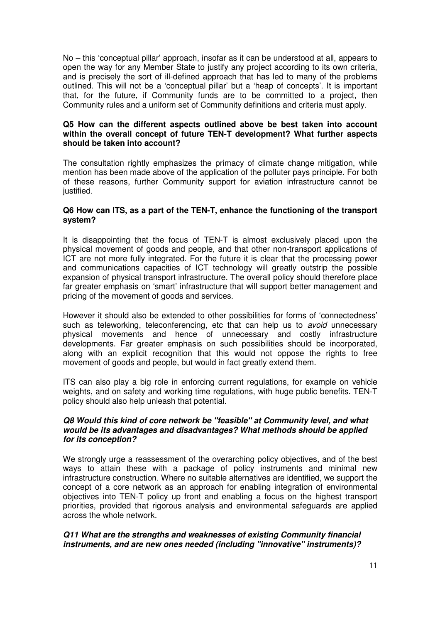No – this 'conceptual pillar' approach, insofar as it can be understood at all, appears to open the way for any Member State to justify any project according to its own criteria, and is precisely the sort of ill-defined approach that has led to many of the problems outlined. This will not be a 'conceptual pillar' but a 'heap of concepts'. It is important that, for the future, if Community funds are to be committed to a project, then Community rules and a uniform set of Community definitions and criteria must apply.

#### **Q5 How can the different aspects outlined above be best taken into account within the overall concept of future TEN-T development? What further aspects should be taken into account?**

The consultation rightly emphasizes the primacy of climate change mitigation, while mention has been made above of the application of the polluter pays principle. For both of these reasons, further Community support for aviation infrastructure cannot be justified.

#### **Q6 How can ITS, as a part of the TEN-T, enhance the functioning of the transport system?**

It is disappointing that the focus of TEN-T is almost exclusively placed upon the physical movement of goods and people, and that other non-transport applications of ICT are not more fully integrated. For the future it is clear that the processing power and communications capacities of ICT technology will greatly outstrip the possible expansion of physical transport infrastructure. The overall policy should therefore place far greater emphasis on 'smart' infrastructure that will support better management and pricing of the movement of goods and services.

However it should also be extended to other possibilities for forms of 'connectedness' such as teleworking, teleconferencing, etc that can help us to avoid unnecessary physical movements and hence of unnecessary and costly infrastructure developments. Far greater emphasis on such possibilities should be incorporated, along with an explicit recognition that this would not oppose the rights to free movement of goods and people, but would in fact greatly extend them.

ITS can also play a big role in enforcing current regulations, for example on vehicle weights, and on safety and working time regulations, with huge public benefits. TEN-T policy should also help unleash that potential.

#### **Q8 Would this kind of core network be "feasible" at Community level, and what would be its advantages and disadvantages? What methods should be applied for its conception?**

We strongly urge a reassessment of the overarching policy objectives, and of the best ways to attain these with a package of policy instruments and minimal new infrastructure construction. Where no suitable alternatives are identified, we support the concept of a core network as an approach for enabling integration of environmental objectives into TEN-T policy up front and enabling a focus on the highest transport priorities, provided that rigorous analysis and environmental safeguards are applied across the whole network.

#### **Q11 What are the strengths and weaknesses of existing Community financial instruments, and are new ones needed (including "innovative" instruments)?**